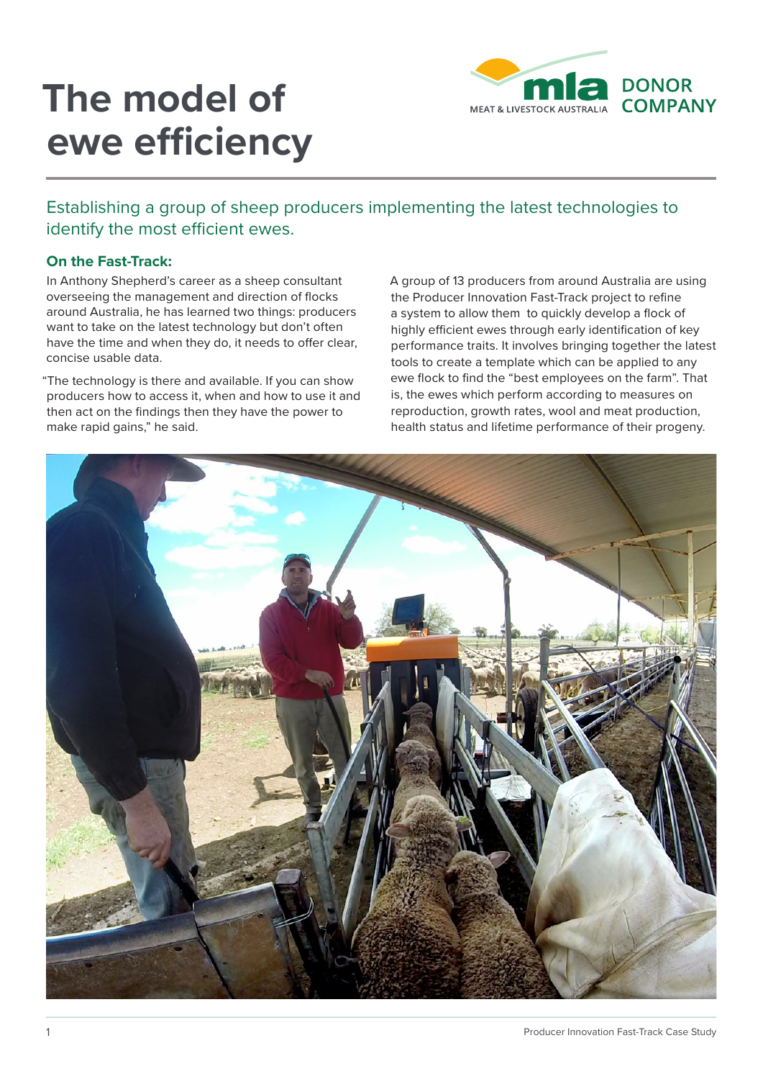# **The model of ewe efficiency**



Establishing a group of sheep producers implementing the latest technologies to identify the most efficient ewes.

### **On the Fast-Track:**

In Anthony Shepherd's career as a sheep consultant overseeing the management and direction of flocks around Australia, he has learned two things: producers want to take on the latest technology but don't often have the time and when they do, it needs to offer clear, concise usable data.

"The technology is there and available. If you can show producers how to access it, when and how to use it and then act on the findings then they have the power to make rapid gains," he said.

A group of 13 producers from around Australia are using the Producer Innovation Fast-Track project to refine a system to allow them to quickly develop a flock of highly efficient ewes through early identification of key performance traits. It involves bringing together the latest tools to create a template which can be applied to any ewe flock to find the "best employees on the farm". That is, the ewes which perform according to measures on reproduction, growth rates, wool and meat production, health status and lifetime performance of their progeny.